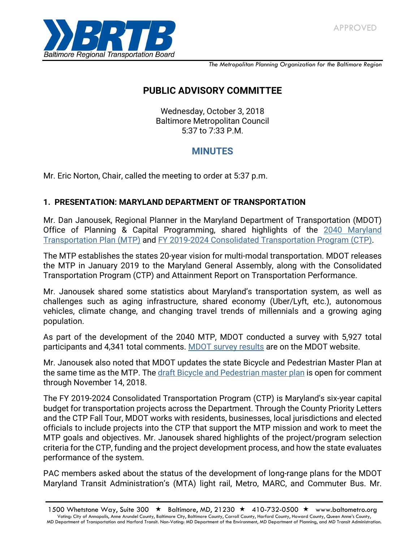

*The Metropolitan Planning Organization for the Baltimore Region*

# **PUBLIC ADVISORY COMMITTEE**

Wednesday, October 3, 2018 Baltimore Metropolitan Council 5:37 to 7:33 P.M.

## **MINUTES**

Mr. Eric Norton, Chair, called the meeting to order at 5:37 p.m.

### **1. PRESENTATION: MARYLAND DEPARTMENT OF TRANSPORTATION**

Mr. Dan Janousek, Regional Planner in the Maryland Department of Transportation (MDOT) Office of Planning & Capital Programming, shared highlights of the 2040 Maryland [Transportation Plan \(MTP\)](http://www.mdot.maryland.gov/newMDOT/Planning/Maryland_Transportation_Plan/Index.html) and [FY 2019-2024 Consolidated Transportation Program \(CTP\).](http://www.mdot.maryland.gov/newMDOT/Planning/CTP/Index.html)

The MTP establishes the states 20-year vision for multi-modal transportation. MDOT releases the MTP in January 2019 to the Maryland General Assembly, along with the Consolidated Transportation Program (CTP) and Attainment Report on Transportation Performance.

Mr. Janousek shared some statistics about Maryland's transportation system, as well as challenges such as aging infrastructure, shared economy (Uber/Lyft, etc.), autonomous vehicles, climate change, and changing travel trends of millennials and a growing aging population.

As part of the development of the 2040 MTP, MDOT conducted a survey with 5,927 total participants and 4,341 total comments. MDOT [survey results](http://www.mdot.maryland.gov/newMDOT/Planning/Maryland_Transportation_Plan/Documents/MetroQuest_SurveyResults.pdf) are on the MDOT website.

Mr. Janousek also noted that MDOT updates the state Bicycle and Pedestrian Master Plan at the same time as the MTP. Th[e draft Bicycle and Pedestrian master plan](http://www.mdot.maryland.gov/newMDOT/Planning/Bike_Walk/Bike_Ped_Plan_Update.html) is open for comment through November 14, 2018.

The FY 2019-2024 Consolidated Transportation Program (CTP) is Maryland's six-year capital budget for transportation projects across the Department. Through the County Priority Letters and the CTP Fall Tour, MDOT works with residents, businesses, local jurisdictions and elected officials to include projects into the CTP that support the MTP mission and work to meet the MTP goals and objectives. Mr. Janousek shared highlights of the project/program selection criteria for the CTP, funding and the project development process, and how the state evaluates performance of the system.

PAC members asked about the status of the development of long-range plans for the MDOT Maryland Transit Administration's (MTA) light rail, Metro, MARC, and Commuter Bus. Mr.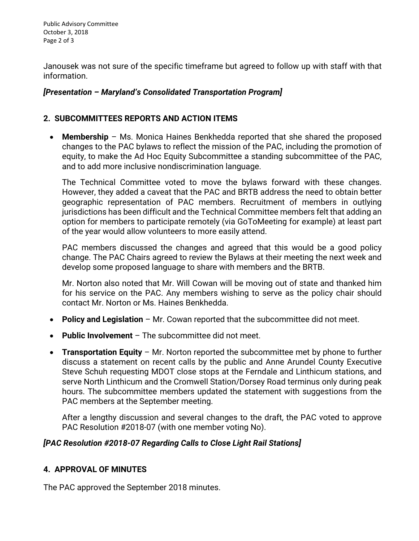Public Advisory Committee October 3, 2018 Page 2 of 3

Janousek was not sure of the specific timeframe but agreed to follow up with staff with that information.

#### *[Presentation – Maryland's Consolidated Transportation Program]*

#### **2. SUBCOMMITTEES REPORTS AND ACTION ITEMS**

• **Membership** – Ms. Monica Haines Benkhedda reported that she shared the proposed changes to the PAC bylaws to reflect the mission of the PAC, including the promotion of equity, to make the Ad Hoc Equity Subcommittee a standing subcommittee of the PAC, and to add more inclusive nondiscrimination language.

The Technical Committee voted to move the bylaws forward with these changes. However, they added a caveat that the PAC and BRTB address the need to obtain better geographic representation of PAC members. Recruitment of members in outlying jurisdictions has been difficult and the Technical Committee members felt that adding an option for members to participate remotely (via GoToMeeting for example) at least part of the year would allow volunteers to more easily attend.

PAC members discussed the changes and agreed that this would be a good policy change. The PAC Chairs agreed to review the Bylaws at their meeting the next week and develop some proposed language to share with members and the BRTB.

Mr. Norton also noted that Mr. Will Cowan will be moving out of state and thanked him for his service on the PAC. Any members wishing to serve as the policy chair should contact Mr. Norton or Ms. Haines Benkhedda.

- **Policy and Legislation** Mr. Cowan reported that the subcommittee did not meet.
- **Public Involvement** The subcommittee did not meet.
- **Transportation Equity** Mr. Norton reported the subcommittee met by phone to further discuss a statement on recent calls by the public and Anne Arundel County Executive Steve Schuh requesting MDOT close stops at the Ferndale and Linthicum stations, and serve North Linthicum and the Cromwell Station/Dorsey Road terminus only during peak hours. The subcommittee members updated the statement with suggestions from the PAC members at the September meeting.

After a lengthy discussion and several changes to the draft, the PAC voted to approve PAC Resolution #2018‐07 (with one member voting No).

#### *[PAC Resolution #2018‐07 Regarding Calls to Close Light Rail Stations]*

#### **4. APPROVAL OF MINUTES**

The PAC approved the September 2018 minutes.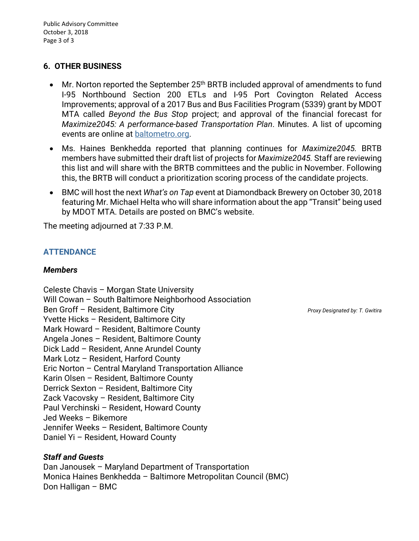#### **6. OTHER BUSINESS**

- Mr. Norton reported the September  $25<sup>th</sup>$  BRTB included approval of amendments to fund I-95 Northbound Section 200 ETLs and I-95 Port Covington Related Access Improvements; approval of a 2017 Bus and Bus Facilities Program (5339) grant by MDOT MTA called *Beyond the Bus Stop* project; and approval of the financial forecast for *Maximize2045: A performance-based Transportation Plan*. Minutes. A list of upcoming events are online at [baltometro.org.](http://www.baltometro.org/)
- Ms. Haines Benkhedda reported that planning continues for *Maximize2045.* BRTB members have submitted their draft list of projects for *Maximize2045.* Staff are reviewing this list and will share with the BRTB committees and the public in November. Following this, the BRTB will conduct a prioritization scoring process of the candidate projects.
- BMC will host the next *What's on Tap* event at Diamondback Brewery on October 30, 2018 featuring Mr. Michael Helta who will share information about the app "Transit" being used by MDOT MTA. Details are posted on BMC's website.

The meeting adjourned at 7:33 P.M.

#### **ATTENDANCE**

#### *Members*

Celeste Chavis – Morgan State University Will Cowan – South Baltimore Neighborhood Association Ben Groff – Resident, Baltimore City *Proxy Designated by: T. Gwitira* Yvette Hicks – Resident, Baltimore City Mark Howard – Resident, Baltimore County Angela Jones – Resident, Baltimore County Dick Ladd – Resident, Anne Arundel County Mark Lotz – Resident, Harford County Eric Norton – Central Maryland Transportation Alliance Karin Olsen – Resident, Baltimore County Derrick Sexton – Resident, Baltimore City Zack Vacovsky – Resident, Baltimore City Paul Verchinski – Resident, Howard County Jed Weeks – Bikemore Jennifer Weeks – Resident, Baltimore County Daniel Yi – Resident, Howard County

#### *Staff and Guests*

Dan Janousek – Maryland Department of Transportation Monica Haines Benkhedda – Baltimore Metropolitan Council (BMC) Don Halligan – BMC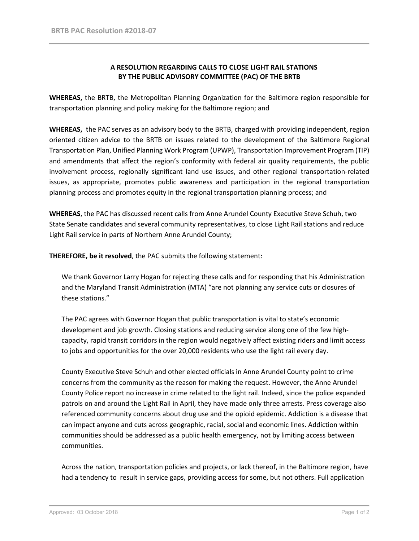#### **A RESOLUTION REGARDING CALLS TO CLOSE LIGHT RAIL STATIONS BY THE PUBLIC ADVISORY COMMITTEE (PAC) OF THE BRTB**

WHEREAS, the BRTB, the Metropolitan Planning Organization for the Baltimore region responsible for transportation planning and policy making for the Baltimore region; and

**WHEREAS,**  the PAC serves as an advisory body to the BRTB, charged with providing independent, region oriented citizen advice to the BRTB on issues related to the development of the Baltimore Regional Transportation Plan, Unified Planning Work Program (UPWP), Transportation Improvement Program (TIP) and amendments that affect the region's conformity with federal air quality requirements, the public involvement process, regionally significant land use issues, and other regional transportation‐related issues, as appropriate, promotes public awareness and participation in the regional transportation planning process and promotes equity in the regional transportation planning process; and

**WHEREAS**, the PAC has discussed recent calls from Anne Arundel County Executive Steve Schuh, two State Senate candidates and several community representatives, to close Light Rail stations and reduce Light Rail service in parts of Northern Anne Arundel County;

**THEREFORE, be it resolved**, the PAC submits the following statement:

We thank Governor Larry Hogan for rejecting these calls and for responding that his Administration and the Maryland Transit Administration (MTA) "are not planning any service cuts or closures of these stations."

The PAC agrees with Governor Hogan that public transportation is vital to state's economic development and job growth. Closing stations and reducing service along one of the few high‐ capacity, rapid transit corridors in the region would negatively affect existing riders and limit access to jobs and opportunities for the over 20,000 residents who use the light rail every day.

County Executive Steve Schuh and other elected officials in Anne Arundel County point to crime concerns from the community as the reason for making the request. However, the Anne Arundel County Police report no increase in crime related to the light rail. Indeed, since the police expanded patrols on and around the Light Rail in April, they have made only three arrests. Press coverage also referenced community concerns about drug use and the opioid epidemic. Addiction is a disease that can impact anyone and cuts across geographic, racial, social and economic lines. Addiction within communities should be addressed as a public health emergency, not by limiting access between communities.

Across the nation, transportation policies and projects, or lack thereof, in the Baltimore region, have had a tendency to result in service gaps, providing access for some, but not others. Full application